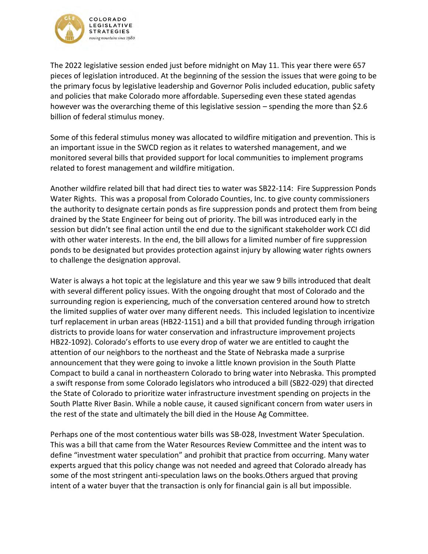

The 2022 legislative session ended just before midnight on May 11. This year there were 657 pieces of legislation introduced. At the beginning of the session the issues that were going to be the primary focus by legislative leadership and Governor Polis included education, public safety and policies that make Colorado more affordable. Superseding even these stated agendas however was the overarching theme of this legislative session – spending the more than \$2.6 billion of federal stimulus money.

Some of this federal stimulus money was allocated to wildfire mitigation and prevention. This is an important issue in the SWCD region as it relates to watershed management, and we monitored several bills that provided support for local communities to implement programs related to forest management and wildfire mitigation.

Another wildfire related bill that had direct ties to water was SB22-114: Fire Suppression Ponds Water Rights. This was a proposal from Colorado Counties, Inc. to give county commissioners the authority to designate certain ponds as fire suppression ponds and protect them from being drained by the State Engineer for being out of priority. The bill was introduced early in the session but didn't see final action until the end due to the significant stakeholder work CCI did with other water interests. In the end, the bill allows for a limited number of fire suppression ponds to be designated but provides protection against injury by allowing water rights owners to challenge the designation approval.

Water is always a hot topic at the legislature and this year we saw 9 bills introduced that dealt with several different policy issues. With the ongoing drought that most of Colorado and the surrounding region is experiencing, much of the conversation centered around how to stretch the limited supplies of water over many different needs. This included legislation to incentivize turf replacement in urban areas (HB22-1151) and a bill that provided funding through irrigation districts to provide loans for water conservation and infrastructure improvement projects HB22-1092). Colorado's efforts to use every drop of water we are entitled to caught the attention of our neighbors to the northeast and the State of Nebraska made a surprise announcement that they were going to invoke a little known provision in the South Platte Compact to build a canal in northeastern Colorado to bring water into Nebraska. This prompted a swift response from some Colorado legislators who introduced a bill (SB22-029) that directed the State of Colorado to prioritize water infrastructure investment spending on projects in the South Platte River Basin. While a noble cause, it caused significant concern from water users in the rest of the state and ultimately the bill died in the House Ag Committee.

Perhaps one of the most contentious water bills was SB-028, Investment Water Speculation. This was a bill that came from the Water Resources Review Committee and the intent was to define "investment water speculation" and prohibit that practice from occurring. Many water experts argued that this policy change was not needed and agreed that Colorado already has some of the most stringent anti-speculation laws on the books.Others argued that proving intent of a water buyer that the transaction is only for financial gain is all but impossible.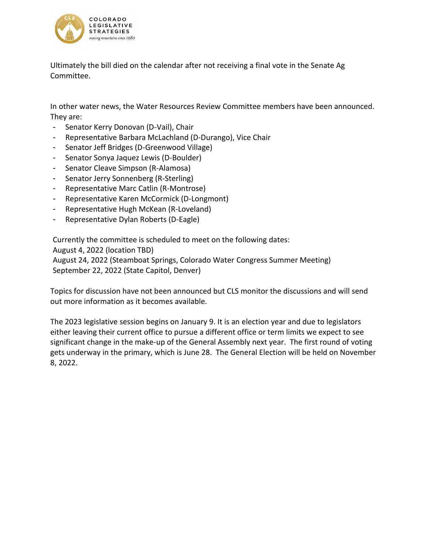

Ultimately the bill died on the calendar after not receiving a final vote in the Senate Ag Committee.

In other water news, the Water Resources Review Committee members have been announced. They are:

- Senator Kerry Donovan (D-Vail), Chair
- Representative Barbara McLachland (D-Durango), Vice Chair
- Senator Jeff Bridges (D-Greenwood Village)
- Senator Sonya Jaquez Lewis (D-Boulder)
- Senator Cleave Simpson (R-Alamosa)
- Senator Jerry Sonnenberg (R-Sterling)
- Representative Marc Catlin (R-Montrose)
- Representative Karen McCormick (D-Longmont)
- Representative Hugh McKean (R-Loveland)
- Representative Dylan Roberts (D-Eagle)

Currently the committee is scheduled to meet on the following dates: August 4, 2022 (location TBD) August 24, 2022 (Steamboat Springs, Colorado Water Congress Summer Meeting) September 22, 2022 (State Capitol, Denver)

Topics for discussion have not been announced but CLS monitor the discussions and will send out more information as it becomes available.

The 2023 legislative session begins on January 9. It is an election year and due to legislators either leaving their current office to pursue a different office or term limits we expect to see significant change in the make-up of the General Assembly next year. The first round of voting gets underway in the primary, which is June 28. The General Election will be held on November 8, 2022.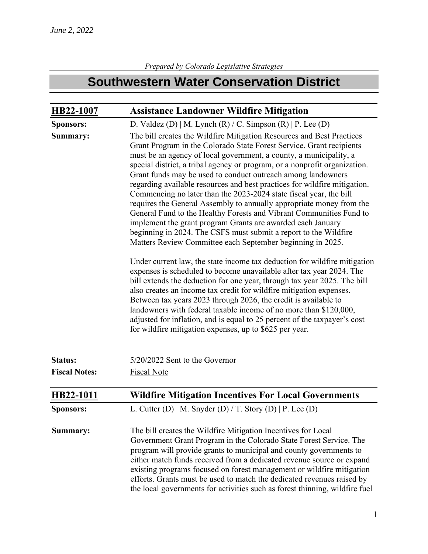## **Southwestern Water Conservation District**

| HB22-1007            | <b>Assistance Landowner Wildfire Mitigation</b>                                                                                                                                                                                                                                                                                                                                                                                                                                                                                                                                                                                                                                                                                                                                                                                                                                                                                                                                                                                                                                                                                                                                                                                                                                                                                                                                                                                                              |
|----------------------|--------------------------------------------------------------------------------------------------------------------------------------------------------------------------------------------------------------------------------------------------------------------------------------------------------------------------------------------------------------------------------------------------------------------------------------------------------------------------------------------------------------------------------------------------------------------------------------------------------------------------------------------------------------------------------------------------------------------------------------------------------------------------------------------------------------------------------------------------------------------------------------------------------------------------------------------------------------------------------------------------------------------------------------------------------------------------------------------------------------------------------------------------------------------------------------------------------------------------------------------------------------------------------------------------------------------------------------------------------------------------------------------------------------------------------------------------------------|
| <b>Sponsors:</b>     | D. Valdez (D)   M. Lynch (R) / C. Simpson (R)   P. Lee (D)                                                                                                                                                                                                                                                                                                                                                                                                                                                                                                                                                                                                                                                                                                                                                                                                                                                                                                                                                                                                                                                                                                                                                                                                                                                                                                                                                                                                   |
| Summary:             | The bill creates the Wildfire Mitigation Resources and Best Practices<br>Grant Program in the Colorado State Forest Service. Grant recipients<br>must be an agency of local government, a county, a municipality, a<br>special district, a tribal agency or program, or a nonprofit organization.<br>Grant funds may be used to conduct outreach among landowners<br>regarding available resources and best practices for wildfire mitigation.<br>Commencing no later than the 2023-2024 state fiscal year, the bill<br>requires the General Assembly to annually appropriate money from the<br>General Fund to the Healthy Forests and Vibrant Communities Fund to<br>implement the grant program Grants are awarded each January<br>beginning in 2024. The CSFS must submit a report to the Wildfire<br>Matters Review Committee each September beginning in 2025.<br>Under current law, the state income tax deduction for wildfire mitigation<br>expenses is scheduled to become unavailable after tax year 2024. The<br>bill extends the deduction for one year, through tax year 2025. The bill<br>also creates an income tax credit for wildfire mitigation expenses.<br>Between tax years 2023 through 2026, the credit is available to<br>landowners with federal taxable income of no more than \$120,000,<br>adjusted for inflation, and is equal to 25 percent of the taxpayer's cost<br>for wildfire mitigation expenses, up to \$625 per year. |
| <b>Status:</b>       | 5/20/2022 Sent to the Governor                                                                                                                                                                                                                                                                                                                                                                                                                                                                                                                                                                                                                                                                                                                                                                                                                                                                                                                                                                                                                                                                                                                                                                                                                                                                                                                                                                                                                               |
| <b>Fiscal Notes:</b> | <b>Fiscal Note</b>                                                                                                                                                                                                                                                                                                                                                                                                                                                                                                                                                                                                                                                                                                                                                                                                                                                                                                                                                                                                                                                                                                                                                                                                                                                                                                                                                                                                                                           |
| HB22-1011            | <b>Wildfire Mitigation Incentives For Local Governments</b>                                                                                                                                                                                                                                                                                                                                                                                                                                                                                                                                                                                                                                                                                                                                                                                                                                                                                                                                                                                                                                                                                                                                                                                                                                                                                                                                                                                                  |
| <b>Sponsors:</b>     | L. Cutter (D)   M. Snyder (D) / T. Story (D)   P. Lee (D)                                                                                                                                                                                                                                                                                                                                                                                                                                                                                                                                                                                                                                                                                                                                                                                                                                                                                                                                                                                                                                                                                                                                                                                                                                                                                                                                                                                                    |
| Summary:             | The bill creates the Wildfire Mitigation Incentives for Local<br>Government Grant Program in the Colorado State Forest Service. The<br>program will provide grants to municipal and county governments to<br>either match funds received from a dedicated revenue source or expand<br>existing programs focused on forest management or wildfire mitigation<br>efforts. Grants must be used to match the dedicated revenues raised by<br>the local governments for activities such as forest thinning, wildfire fuel                                                                                                                                                                                                                                                                                                                                                                                                                                                                                                                                                                                                                                                                                                                                                                                                                                                                                                                                         |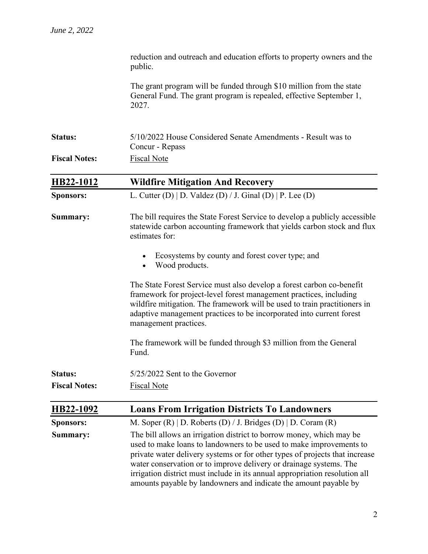|                      | reduction and outreach and education efforts to property owners and the<br>public.                                                                                                                                                                                                                                                                                                                                                                  |
|----------------------|-----------------------------------------------------------------------------------------------------------------------------------------------------------------------------------------------------------------------------------------------------------------------------------------------------------------------------------------------------------------------------------------------------------------------------------------------------|
|                      | The grant program will be funded through \$10 million from the state<br>General Fund. The grant program is repealed, effective September 1,<br>2027.                                                                                                                                                                                                                                                                                                |
| <b>Status:</b>       | 5/10/2022 House Considered Senate Amendments - Result was to<br>Concur - Repass                                                                                                                                                                                                                                                                                                                                                                     |
| <b>Fiscal Notes:</b> | <b>Fiscal Note</b>                                                                                                                                                                                                                                                                                                                                                                                                                                  |
| HB22-1012            | <b>Wildfire Mitigation And Recovery</b>                                                                                                                                                                                                                                                                                                                                                                                                             |
| <b>Sponsors:</b>     | L. Cutter (D)   D. Valdez (D) / J. Ginal (D)   P. Lee (D)                                                                                                                                                                                                                                                                                                                                                                                           |
| Summary:             | The bill requires the State Forest Service to develop a publicly accessible<br>statewide carbon accounting framework that yields carbon stock and flux<br>estimates for:                                                                                                                                                                                                                                                                            |
|                      | Ecosystems by county and forest cover type; and<br>Wood products.                                                                                                                                                                                                                                                                                                                                                                                   |
|                      | The State Forest Service must also develop a forest carbon co-benefit<br>framework for project-level forest management practices, including<br>wildfire mitigation. The framework will be used to train practitioners in<br>adaptive management practices to be incorporated into current forest<br>management practices.                                                                                                                           |
|                      | The framework will be funded through \$3 million from the General<br>Fund.                                                                                                                                                                                                                                                                                                                                                                          |
| Status:              | 5/25/2022 Sent to the Governor                                                                                                                                                                                                                                                                                                                                                                                                                      |
| <b>Fiscal Notes:</b> | <b>Fiscal Note</b>                                                                                                                                                                                                                                                                                                                                                                                                                                  |
| HB22-1092            | <b>Loans From Irrigation Districts To Landowners</b>                                                                                                                                                                                                                                                                                                                                                                                                |
| <b>Sponsors:</b>     | M. Soper $(R)$   D. Roberts $(D) / J$ . Bridges $(D)$   D. Coram $(R)$                                                                                                                                                                                                                                                                                                                                                                              |
| Summary:             | The bill allows an irrigation district to borrow money, which may be<br>used to make loans to landowners to be used to make improvements to<br>private water delivery systems or for other types of projects that increase<br>water conservation or to improve delivery or drainage systems. The<br>irrigation district must include in its annual appropriation resolution all<br>amounts payable by landowners and indicate the amount payable by |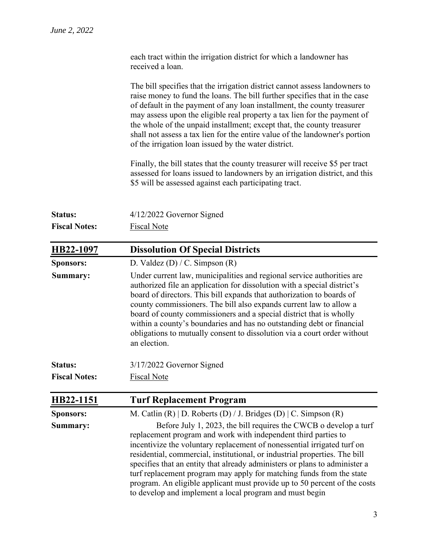|                      | each tract within the irrigation district for which a landowner has<br>received a loan.                                                                                                                                                                                                                                                                                                                                                                                                                                                                                                   |
|----------------------|-------------------------------------------------------------------------------------------------------------------------------------------------------------------------------------------------------------------------------------------------------------------------------------------------------------------------------------------------------------------------------------------------------------------------------------------------------------------------------------------------------------------------------------------------------------------------------------------|
|                      | The bill specifies that the irrigation district cannot assess landowners to<br>raise money to fund the loans. The bill further specifies that in the case<br>of default in the payment of any loan installment, the county treasurer<br>may assess upon the eligible real property a tax lien for the payment of<br>the whole of the unpaid installment; except that, the county treasurer<br>shall not assess a tax lien for the entire value of the landowner's portion<br>of the irrigation loan issued by the water district.                                                         |
|                      | Finally, the bill states that the county treasurer will receive \$5 per tract<br>assessed for loans issued to landowners by an irrigation district, and this<br>\$5 will be assessed against each participating tract.                                                                                                                                                                                                                                                                                                                                                                    |
| <b>Status:</b>       | 4/12/2022 Governor Signed                                                                                                                                                                                                                                                                                                                                                                                                                                                                                                                                                                 |
| <b>Fiscal Notes:</b> | <b>Fiscal Note</b>                                                                                                                                                                                                                                                                                                                                                                                                                                                                                                                                                                        |
| HB22-1097            | <b>Dissolution Of Special Districts</b>                                                                                                                                                                                                                                                                                                                                                                                                                                                                                                                                                   |
| <b>Sponsors:</b>     | D. Valdez (D) / C. Simpson $(R)$                                                                                                                                                                                                                                                                                                                                                                                                                                                                                                                                                          |
| Summary:             | Under current law, municipalities and regional service authorities are<br>authorized file an application for dissolution with a special district's<br>board of directors. This bill expands that authorization to boards of<br>county commissioners. The bill also expands current law to allow a<br>board of county commissioners and a special district that is wholly<br>within a county's boundaries and has no outstanding debt or financial<br>obligations to mutually consent to dissolution via a court order without<br>an election.                                             |
| Status:              | 3/17/2022 Governor Signed                                                                                                                                                                                                                                                                                                                                                                                                                                                                                                                                                                 |
| <b>Fiscal Notes:</b> | <b>Fiscal Note</b>                                                                                                                                                                                                                                                                                                                                                                                                                                                                                                                                                                        |
| HB22-1151            | <b>Turf Replacement Program</b>                                                                                                                                                                                                                                                                                                                                                                                                                                                                                                                                                           |
| <b>Sponsors:</b>     | M. Catlin $(R)$   D. Roberts $(D) / J$ . Bridges $(D)$   C. Simpson $(R)$                                                                                                                                                                                                                                                                                                                                                                                                                                                                                                                 |
| Summary:             | Before July 1, 2023, the bill requires the CWCB o develop a turf<br>replacement program and work with independent third parties to<br>incentivize the voluntary replacement of nonessential irrigated turf on<br>residential, commercial, institutional, or industrial properties. The bill<br>specifies that an entity that already administers or plans to administer a<br>turf replacement program may apply for matching funds from the state<br>program. An eligible applicant must provide up to 50 percent of the costs<br>to develop and implement a local program and must begin |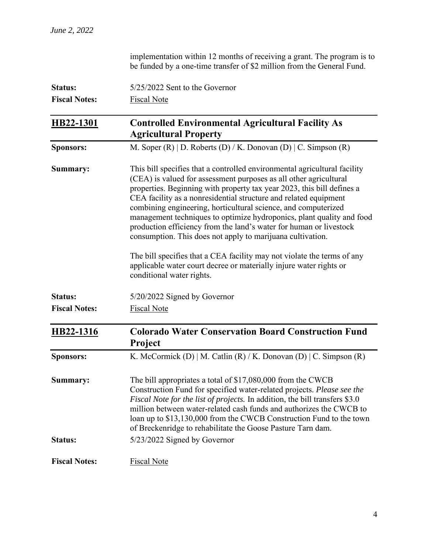|                      | implementation within 12 months of receiving a grant. The program is to<br>be funded by a one-time transfer of \$2 million from the General Fund.                                                                                                                                                                                                                                                                                                                                                                                                                                                                                                      |
|----------------------|--------------------------------------------------------------------------------------------------------------------------------------------------------------------------------------------------------------------------------------------------------------------------------------------------------------------------------------------------------------------------------------------------------------------------------------------------------------------------------------------------------------------------------------------------------------------------------------------------------------------------------------------------------|
| <b>Status:</b>       | 5/25/2022 Sent to the Governor                                                                                                                                                                                                                                                                                                                                                                                                                                                                                                                                                                                                                         |
| <b>Fiscal Notes:</b> | <b>Fiscal Note</b>                                                                                                                                                                                                                                                                                                                                                                                                                                                                                                                                                                                                                                     |
| HB22-1301            | <b>Controlled Environmental Agricultural Facility As</b><br><b>Agricultural Property</b>                                                                                                                                                                                                                                                                                                                                                                                                                                                                                                                                                               |
| <b>Sponsors:</b>     | M. Soper $(R)$   D. Roberts $(D)$ / K. Donovan $(D)$   C. Simpson $(R)$                                                                                                                                                                                                                                                                                                                                                                                                                                                                                                                                                                                |
| Summary:             | This bill specifies that a controlled environmental agricultural facility<br>(CEA) is valued for assessment purposes as all other agricultural<br>properties. Beginning with property tax year 2023, this bill defines a<br>CEA facility as a nonresidential structure and related equipment<br>combining engineering, horticultural science, and computerized<br>management techniques to optimize hydroponics, plant quality and food<br>production efficiency from the land's water for human or livestock<br>consumption. This does not apply to marijuana cultivation.<br>The bill specifies that a CEA facility may not violate the terms of any |
|                      | applicable water court decree or materially injure water rights or<br>conditional water rights.                                                                                                                                                                                                                                                                                                                                                                                                                                                                                                                                                        |
| <b>Status:</b>       | 5/20/2022 Signed by Governor                                                                                                                                                                                                                                                                                                                                                                                                                                                                                                                                                                                                                           |
| <b>Fiscal Notes:</b> | <b>Fiscal Note</b>                                                                                                                                                                                                                                                                                                                                                                                                                                                                                                                                                                                                                                     |
| HB22-1316            | <b>Colorado Water Conservation Board Construction Fund</b><br><b>Project</b>                                                                                                                                                                                                                                                                                                                                                                                                                                                                                                                                                                           |
| <b>Sponsors:</b>     | K. McCormick (D)   M. Catlin (R) / K. Donovan (D)   C. Simpson (R)                                                                                                                                                                                                                                                                                                                                                                                                                                                                                                                                                                                     |
| Summary:             | The bill appropriates a total of $$17,080,000$ from the CWCB<br>Construction Fund for specified water-related projects. Please see the<br><i>Fiscal Note for the list of projects.</i> In addition, the bill transfers \$3.0<br>million between water-related cash funds and authorizes the CWCB to<br>loan up to \$13,130,000 from the CWCB Construction Fund to the town<br>of Breckenridge to rehabilitate the Goose Pasture Tarn dam.                                                                                                                                                                                                              |
| <b>Status:</b>       | 5/23/2022 Signed by Governor                                                                                                                                                                                                                                                                                                                                                                                                                                                                                                                                                                                                                           |
| <b>Fiscal Notes:</b> | <b>Fiscal Note</b>                                                                                                                                                                                                                                                                                                                                                                                                                                                                                                                                                                                                                                     |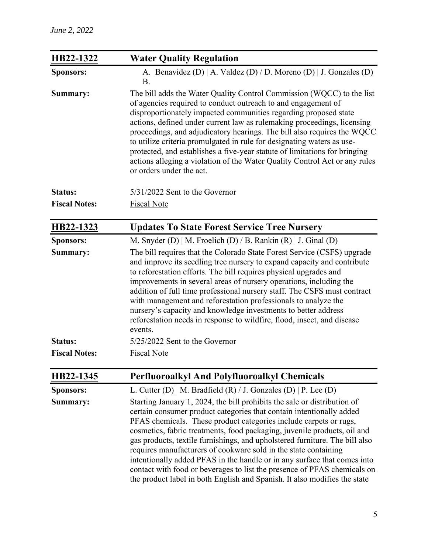| HB22-1322            | <b>Water Quality Regulation</b>                                                                                                                                                                                                                                                                                                                                                                                                                                                                                                                                                                                                                                                          |
|----------------------|------------------------------------------------------------------------------------------------------------------------------------------------------------------------------------------------------------------------------------------------------------------------------------------------------------------------------------------------------------------------------------------------------------------------------------------------------------------------------------------------------------------------------------------------------------------------------------------------------------------------------------------------------------------------------------------|
| <b>Sponsors:</b>     | A. Benavidez (D)   A. Valdez (D) / D. Moreno (D)   J. Gonzales (D)<br><b>B.</b>                                                                                                                                                                                                                                                                                                                                                                                                                                                                                                                                                                                                          |
| Summary:             | The bill adds the Water Quality Control Commission (WQCC) to the list<br>of agencies required to conduct outreach to and engagement of<br>disproportionately impacted communities regarding proposed state<br>actions, defined under current law as rulemaking proceedings, licensing<br>proceedings, and adjudicatory hearings. The bill also requires the WQCC<br>to utilize criteria promulgated in rule for designating waters as use-<br>protected, and establishes a five-year statute of limitations for bringing<br>actions alleging a violation of the Water Quality Control Act or any rules<br>or orders under the act.                                                       |
| <b>Status:</b>       | $5/31/2022$ Sent to the Governor                                                                                                                                                                                                                                                                                                                                                                                                                                                                                                                                                                                                                                                         |
| <b>Fiscal Notes:</b> | <b>Fiscal Note</b>                                                                                                                                                                                                                                                                                                                                                                                                                                                                                                                                                                                                                                                                       |
| HB22-1323            | <b>Updates To State Forest Service Tree Nursery</b>                                                                                                                                                                                                                                                                                                                                                                                                                                                                                                                                                                                                                                      |
| <b>Sponsors:</b>     | M. Snyder (D)   M. Froelich (D) / B. Rankin (R)   J. Ginal (D)                                                                                                                                                                                                                                                                                                                                                                                                                                                                                                                                                                                                                           |
| Summary:             | The bill requires that the Colorado State Forest Service (CSFS) upgrade<br>and improve its seedling tree nursery to expand capacity and contribute<br>to reforestation efforts. The bill requires physical upgrades and<br>improvements in several areas of nursery operations, including the<br>addition of full time professional nursery staff. The CSFS must contract<br>with management and reforestation professionals to analyze the<br>nursery's capacity and knowledge investments to better address<br>reforestation needs in response to wildfire, flood, insect, and disease<br>events.                                                                                      |
| <b>Status:</b>       | 5/25/2022 Sent to the Governor                                                                                                                                                                                                                                                                                                                                                                                                                                                                                                                                                                                                                                                           |
| <b>Fiscal Notes:</b> | <b>Fiscal Note</b>                                                                                                                                                                                                                                                                                                                                                                                                                                                                                                                                                                                                                                                                       |
| HB22-1345            | <b>Perfluoroalkyl And Polyfluoroalkyl Chemicals</b>                                                                                                                                                                                                                                                                                                                                                                                                                                                                                                                                                                                                                                      |
| <b>Sponsors:</b>     | L. Cutter (D)   M. Bradfield (R) / J. Gonzales (D)   P. Lee (D)                                                                                                                                                                                                                                                                                                                                                                                                                                                                                                                                                                                                                          |
| Summary:             | Starting January 1, 2024, the bill prohibits the sale or distribution of<br>certain consumer product categories that contain intentionally added<br>PFAS chemicals. These product categories include carpets or rugs,<br>cosmetics, fabric treatments, food packaging, juvenile products, oil and<br>gas products, textile furnishings, and upholstered furniture. The bill also<br>requires manufacturers of cookware sold in the state containing<br>intentionally added PFAS in the handle or in any surface that comes into<br>contact with food or beverages to list the presence of PFAS chemicals on<br>the product label in both English and Spanish. It also modifies the state |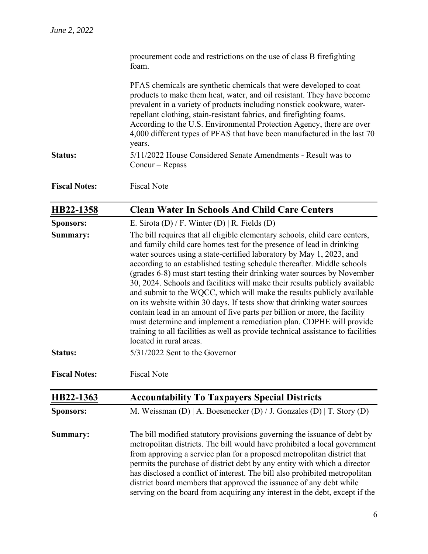|                      | procurement code and restrictions on the use of class B firefighting<br>foam.                                                                                                                                                                                                                                                                                                                                                                                                                                                                                                                                                                                                                                                                                                                                                                                                               |
|----------------------|---------------------------------------------------------------------------------------------------------------------------------------------------------------------------------------------------------------------------------------------------------------------------------------------------------------------------------------------------------------------------------------------------------------------------------------------------------------------------------------------------------------------------------------------------------------------------------------------------------------------------------------------------------------------------------------------------------------------------------------------------------------------------------------------------------------------------------------------------------------------------------------------|
|                      | PFAS chemicals are synthetic chemicals that were developed to coat<br>products to make them heat, water, and oil resistant. They have become<br>prevalent in a variety of products including nonstick cookware, water-<br>repellant clothing, stain-resistant fabrics, and firefighting foams.<br>According to the U.S. Environmental Protection Agency, there are over<br>4,000 different types of PFAS that have been manufactured in the last 70<br>years.                                                                                                                                                                                                                                                                                                                                                                                                                               |
| <b>Status:</b>       | 5/11/2022 House Considered Senate Amendments - Result was to<br>$Concur-Repass$                                                                                                                                                                                                                                                                                                                                                                                                                                                                                                                                                                                                                                                                                                                                                                                                             |
| <b>Fiscal Notes:</b> | <b>Fiscal Note</b>                                                                                                                                                                                                                                                                                                                                                                                                                                                                                                                                                                                                                                                                                                                                                                                                                                                                          |
| HB22-1358            | <b>Clean Water In Schools And Child Care Centers</b>                                                                                                                                                                                                                                                                                                                                                                                                                                                                                                                                                                                                                                                                                                                                                                                                                                        |
| <b>Sponsors:</b>     | E. Sirota (D) / F. Winter (D)   R. Fields (D)                                                                                                                                                                                                                                                                                                                                                                                                                                                                                                                                                                                                                                                                                                                                                                                                                                               |
| Summary:             | The bill requires that all eligible elementary schools, child care centers,<br>and family child care homes test for the presence of lead in drinking<br>water sources using a state-certified laboratory by May 1, 2023, and<br>according to an established testing schedule thereafter. Middle schools<br>(grades 6-8) must start testing their drinking water sources by November<br>30, 2024. Schools and facilities will make their results publicly available<br>and submit to the WQCC, which will make the results publicly available<br>on its website within 30 days. If tests show that drinking water sources<br>contain lead in an amount of five parts per billion or more, the facility<br>must determine and implement a remediation plan. CDPHE will provide<br>training to all facilities as well as provide technical assistance to facilities<br>located in rural areas. |
| <b>Status:</b>       | 5/31/2022 Sent to the Governor                                                                                                                                                                                                                                                                                                                                                                                                                                                                                                                                                                                                                                                                                                                                                                                                                                                              |
| <b>Fiscal Notes:</b> | <b>Fiscal Note</b>                                                                                                                                                                                                                                                                                                                                                                                                                                                                                                                                                                                                                                                                                                                                                                                                                                                                          |
| HB22-1363            | <b>Accountability To Taxpayers Special Districts</b>                                                                                                                                                                                                                                                                                                                                                                                                                                                                                                                                                                                                                                                                                                                                                                                                                                        |
| <b>Sponsors:</b>     | M. Weissman (D)   A. Boesenecker (D) / J. Gonzales (D)   T. Story (D)                                                                                                                                                                                                                                                                                                                                                                                                                                                                                                                                                                                                                                                                                                                                                                                                                       |
| Summary:             | The bill modified statutory provisions governing the issuance of debt by<br>metropolitan districts. The bill would have prohibited a local government<br>from approving a service plan for a proposed metropolitan district that<br>permits the purchase of district debt by any entity with which a director<br>has disclosed a conflict of interest. The bill also prohibited metropolitan<br>district board members that approved the issuance of any debt while<br>serving on the board from acquiring any interest in the debt, except if the                                                                                                                                                                                                                                                                                                                                          |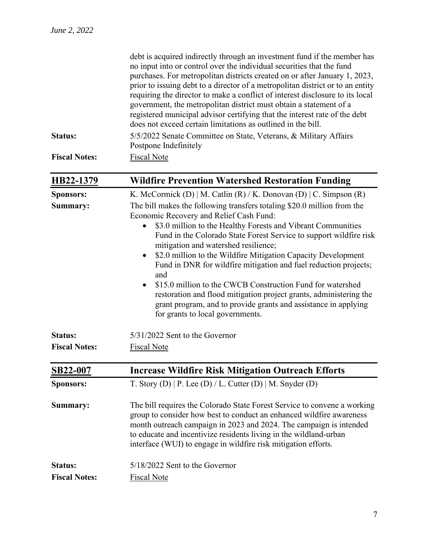|                      | debt is acquired indirectly through an investment fund if the member has<br>no input into or control over the individual securities that the fund                                                                                                                                                                                                                                   |
|----------------------|-------------------------------------------------------------------------------------------------------------------------------------------------------------------------------------------------------------------------------------------------------------------------------------------------------------------------------------------------------------------------------------|
|                      | purchases. For metropolitan districts created on or after January 1, 2023,                                                                                                                                                                                                                                                                                                          |
|                      | prior to issuing debt to a director of a metropolitan district or to an entity<br>requiring the director to make a conflict of interest disclosure to its local<br>government, the metropolitan district must obtain a statement of a<br>registered municipal advisor certifying that the interest rate of the debt<br>does not exceed certain limitations as outlined in the bill. |
| <b>Status:</b>       | 5/5/2022 Senate Committee on State, Veterans, & Military Affairs<br>Postpone Indefinitely                                                                                                                                                                                                                                                                                           |
| <b>Fiscal Notes:</b> | Fiscal Note                                                                                                                                                                                                                                                                                                                                                                         |

| HB22-1379                              | <b>Wildfire Prevention Watershed Restoration Funding</b>                                                                                                                                                                                                                                                                                                                                                                                                                                                                                                                                                                                                                                                                                                                                |
|----------------------------------------|-----------------------------------------------------------------------------------------------------------------------------------------------------------------------------------------------------------------------------------------------------------------------------------------------------------------------------------------------------------------------------------------------------------------------------------------------------------------------------------------------------------------------------------------------------------------------------------------------------------------------------------------------------------------------------------------------------------------------------------------------------------------------------------------|
| <b>Sponsors:</b><br>Summary:           | K. McCormick (D)   M. Catlin (R) / K. Donovan (D)   C. Simpson (R)<br>The bill makes the following transfers totaling \$20.0 million from the<br>Economic Recovery and Relief Cash Fund:<br>\$3.0 million to the Healthy Forests and Vibrant Communities<br>Fund in the Colorado State Forest Service to support wildfire risk<br>mitigation and watershed resilience;<br>\$2.0 million to the Wildfire Mitigation Capacity Development<br>$\bullet$<br>Fund in DNR for wildfire mitigation and fuel reduction projects;<br>and<br>\$15.0 million to the CWCB Construction Fund for watershed<br>$\bullet$<br>restoration and flood mitigation project grants, administering the<br>grant program, and to provide grants and assistance in applying<br>for grants to local governments. |
| <b>Status:</b><br><b>Fiscal Notes:</b> | 5/31/2022 Sent to the Governor<br><b>Fiscal Note</b>                                                                                                                                                                                                                                                                                                                                                                                                                                                                                                                                                                                                                                                                                                                                    |
| <b>SB22-007</b>                        | <b>Increase Wildfire Risk Mitigation Outreach Efforts</b>                                                                                                                                                                                                                                                                                                                                                                                                                                                                                                                                                                                                                                                                                                                               |
| <b>Sponsors:</b>                       | T. Story (D)   P. Lee (D) / L. Cutter (D)   M. Snyder (D)                                                                                                                                                                                                                                                                                                                                                                                                                                                                                                                                                                                                                                                                                                                               |
| Summary:                               | The bill requires the Colorado State Forest Service to convene a working<br>group to consider how best to conduct an enhanced wildfire awareness<br>month outreach campaign in 2023 and 2024. The campaign is intended<br>to educate and incentivize residents living in the wildland-urban<br>interface (WUI) to engage in wildfire risk mitigation efforts.                                                                                                                                                                                                                                                                                                                                                                                                                           |
| <b>Status:</b>                         | 5/18/2022 Sent to the Governor                                                                                                                                                                                                                                                                                                                                                                                                                                                                                                                                                                                                                                                                                                                                                          |
| <b>Fiscal Notes:</b>                   | <b>Fiscal Note</b>                                                                                                                                                                                                                                                                                                                                                                                                                                                                                                                                                                                                                                                                                                                                                                      |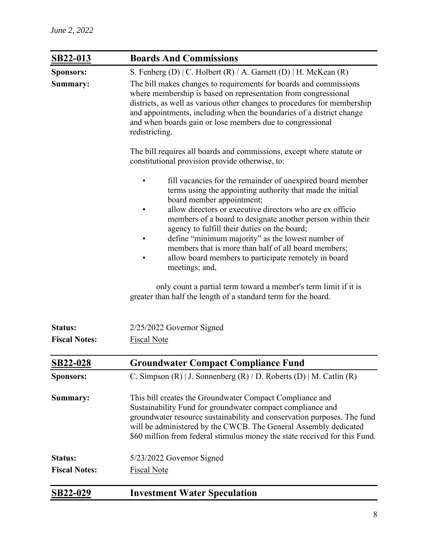| SB22-013             | <b>Boards And Commissions</b>                                                                                                                                                                                                                                                                                                                                                                                                                                                                                                                                                                                                                                 |
|----------------------|---------------------------------------------------------------------------------------------------------------------------------------------------------------------------------------------------------------------------------------------------------------------------------------------------------------------------------------------------------------------------------------------------------------------------------------------------------------------------------------------------------------------------------------------------------------------------------------------------------------------------------------------------------------|
| <b>Sponsors:</b>     | S. Fenberg (D)   C. Holbert (R) / A. Garnett (D)   H. McKean (R)                                                                                                                                                                                                                                                                                                                                                                                                                                                                                                                                                                                              |
| Summary:             | The bill makes changes to requirements for boards and commissions<br>where membership is based on representation from congressional<br>districts, as well as various other changes to procedures for membership<br>and appointments, including when the boundaries of a district change<br>and when boards gain or lose members due to congressional<br>redistricting.                                                                                                                                                                                                                                                                                        |
|                      | The bill requires all boards and commissions, except where statute or<br>constitutional provision provide otherwise, to:                                                                                                                                                                                                                                                                                                                                                                                                                                                                                                                                      |
|                      | fill vacancies for the remainder of unexpired board member<br>terms using the appointing authority that made the initial<br>board member appointment;<br>allow directors or executive directors who are ex officio<br>members of a board to designate another person within their<br>agency to fulfill their duties on the board;<br>define "minimum majority" as the lowest number of<br>members that is more than half of all board members;<br>allow board members to participate remotely in board<br>meetings; and,<br>only count a partial term toward a member's term limit if it is<br>greater than half the length of a standard term for the board. |
| <b>Status:</b>       | 2/25/2022 Governor Signed                                                                                                                                                                                                                                                                                                                                                                                                                                                                                                                                                                                                                                     |
| <b>Fiscal Notes:</b> | <b>Fiscal Note</b>                                                                                                                                                                                                                                                                                                                                                                                                                                                                                                                                                                                                                                            |
| <b>SB22-028</b>      | <b>Groundwater Compact Compliance Fund</b>                                                                                                                                                                                                                                                                                                                                                                                                                                                                                                                                                                                                                    |
| <b>Sponsors:</b>     | C. Simpson $(R)$   J. Sonnenberg $(R)$ / D. Roberts $(D)$   M. Catlin $(R)$                                                                                                                                                                                                                                                                                                                                                                                                                                                                                                                                                                                   |
| Summary:             | This bill creates the Groundwater Compact Compliance and<br>Sustainability Fund for groundwater compact compliance and<br>groundwater resource sustainability and conservation purposes. The fund<br>will be administered by the CWCB. The General Assembly dedicated<br>\$60 million from federal stimulus money the state received for this Fund.                                                                                                                                                                                                                                                                                                           |
| Status:              | 5/23/2022 Governor Signed                                                                                                                                                                                                                                                                                                                                                                                                                                                                                                                                                                                                                                     |
| <b>Fiscal Notes:</b> | <b>Fiscal Note</b>                                                                                                                                                                                                                                                                                                                                                                                                                                                                                                                                                                                                                                            |
| <b>SB22-029</b>      | <b>Investment Water Speculation</b>                                                                                                                                                                                                                                                                                                                                                                                                                                                                                                                                                                                                                           |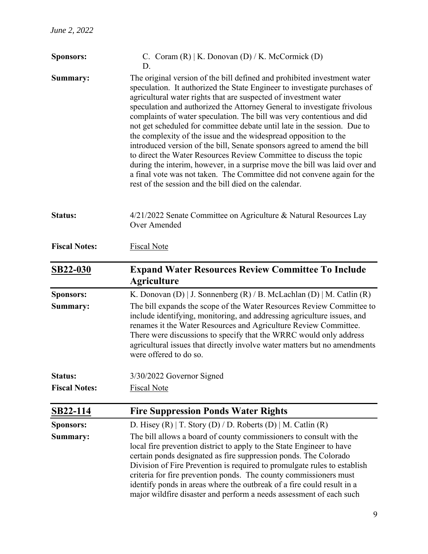| <b>Sponsors:</b>     | C. Coram $(R)$   K. Donovan $(D)$ / K. McCormick $(D)$<br>D.                                                                                                                                                                                                                                                                                                                                                                                                                                                                                                                                                                                                                                                                                                                                                                                                                                          |
|----------------------|-------------------------------------------------------------------------------------------------------------------------------------------------------------------------------------------------------------------------------------------------------------------------------------------------------------------------------------------------------------------------------------------------------------------------------------------------------------------------------------------------------------------------------------------------------------------------------------------------------------------------------------------------------------------------------------------------------------------------------------------------------------------------------------------------------------------------------------------------------------------------------------------------------|
| Summary:             | The original version of the bill defined and prohibited investment water<br>speculation. It authorized the State Engineer to investigate purchases of<br>agricultural water rights that are suspected of investment water<br>speculation and authorized the Attorney General to investigate frivolous<br>complaints of water speculation. The bill was very contentious and did<br>not get scheduled for committee debate until late in the session. Due to<br>the complexity of the issue and the widespread opposition to the<br>introduced version of the bill, Senate sponsors agreed to amend the bill<br>to direct the Water Resources Review Committee to discuss the topic<br>during the interim, however, in a surprise move the bill was laid over and<br>a final vote was not taken. The Committee did not convene again for the<br>rest of the session and the bill died on the calendar. |
| <b>Status:</b>       | 4/21/2022 Senate Committee on Agriculture & Natural Resources Lay<br>Over Amended                                                                                                                                                                                                                                                                                                                                                                                                                                                                                                                                                                                                                                                                                                                                                                                                                     |
| <b>Fiscal Notes:</b> | <b>Fiscal Note</b>                                                                                                                                                                                                                                                                                                                                                                                                                                                                                                                                                                                                                                                                                                                                                                                                                                                                                    |
| <b>SB22-030</b>      | <b>Expand Water Resources Review Committee To Include</b><br><b>Agriculture</b>                                                                                                                                                                                                                                                                                                                                                                                                                                                                                                                                                                                                                                                                                                                                                                                                                       |
| Sponsors:            | K. Donovan (D)   J. Sonnenberg (R) / B. McLachlan (D)   M. Catlin (R)                                                                                                                                                                                                                                                                                                                                                                                                                                                                                                                                                                                                                                                                                                                                                                                                                                 |
| Summary:             | The bill expands the scope of the Water Resources Review Committee to<br>include identifying, monitoring, and addressing agriculture issues, and<br>renames it the Water Resources and Agriculture Review Committee.<br>There were discussions to specify that the WRRC would only address<br>agricultural issues that directly involve water matters but no amendments<br>were offered to do so.                                                                                                                                                                                                                                                                                                                                                                                                                                                                                                     |
| <b>Status:</b>       | 3/30/2022 Governor Signed                                                                                                                                                                                                                                                                                                                                                                                                                                                                                                                                                                                                                                                                                                                                                                                                                                                                             |
| <b>Fiscal Notes:</b> | <b>Fiscal Note</b>                                                                                                                                                                                                                                                                                                                                                                                                                                                                                                                                                                                                                                                                                                                                                                                                                                                                                    |
| SB22-114             | <b>Fire Suppression Ponds Water Rights</b>                                                                                                                                                                                                                                                                                                                                                                                                                                                                                                                                                                                                                                                                                                                                                                                                                                                            |
| <b>Sponsors:</b>     | D. Hisey (R)   T. Story (D) / D. Roberts (D)   M. Catlin (R)                                                                                                                                                                                                                                                                                                                                                                                                                                                                                                                                                                                                                                                                                                                                                                                                                                          |
| Summary:             | The bill allows a board of county commissioners to consult with the<br>local fire prevention district to apply to the State Engineer to have<br>certain ponds designated as fire suppression ponds. The Colorado<br>Division of Fire Prevention is required to promulgate rules to establish<br>criteria for fire prevention ponds. The county commissioners must<br>identify ponds in areas where the outbreak of a fire could result in a<br>major wildfire disaster and perform a needs assessment of each such                                                                                                                                                                                                                                                                                                                                                                                    |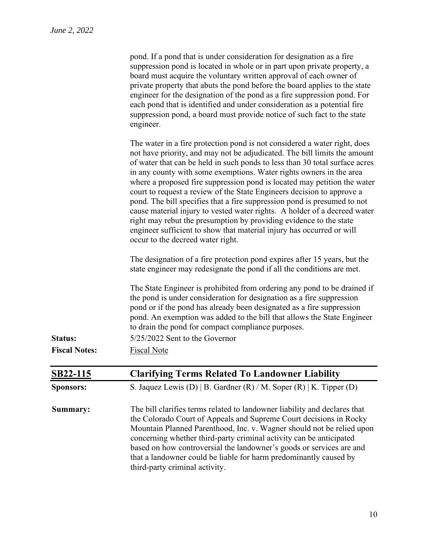| pond. If a pond that is under consideration for designation as a fire      |
|----------------------------------------------------------------------------|
| suppression pond is located in whole or in part upon private property, a   |
| board must acquire the voluntary written approval of each owner of         |
| private property that abuts the pond before the board applies to the state |
| engineer for the designation of the pond as a fire suppression pond. For   |
| each pond that is identified and under consideration as a potential fire   |
| suppression pond, a board must provide notice of such fact to the state    |
| engineer.                                                                  |

|                      | The water in a fire protection pond is not considered a water right, does<br>not have priority, and may not be adjudicated. The bill limits the amount<br>of water that can be held in such ponds to less than 30 total surface acres<br>in any county with some exemptions. Water rights owners in the area<br>where a proposed fire suppression pond is located may petition the water<br>court to request a review of the State Engineers decision to approve a<br>pond. The bill specifies that a fire suppression pond is presumed to not<br>cause material injury to vested water rights. A holder of a decreed water<br>right may rebut the presumption by providing evidence to the state<br>engineer sufficient to show that material injury has occurred or will<br>occur to the decreed water right. |
|----------------------|-----------------------------------------------------------------------------------------------------------------------------------------------------------------------------------------------------------------------------------------------------------------------------------------------------------------------------------------------------------------------------------------------------------------------------------------------------------------------------------------------------------------------------------------------------------------------------------------------------------------------------------------------------------------------------------------------------------------------------------------------------------------------------------------------------------------|
|                      | The designation of a fire protection pond expires after 15 years, but the<br>state engineer may redesignate the pond if all the conditions are met.                                                                                                                                                                                                                                                                                                                                                                                                                                                                                                                                                                                                                                                             |
|                      | The State Engineer is prohibited from ordering any pond to be drained if<br>the pond is under consideration for designation as a fire suppression<br>pond or if the pond has already been designated as a fire suppression<br>pond. An exemption was added to the bill that allows the State Engineer<br>to drain the pond for compact compliance purposes.                                                                                                                                                                                                                                                                                                                                                                                                                                                     |
| Status:              | 5/25/2022 Sent to the Governor                                                                                                                                                                                                                                                                                                                                                                                                                                                                                                                                                                                                                                                                                                                                                                                  |
| <b>Fiscal Notes:</b> | <b>Fiscal Note</b>                                                                                                                                                                                                                                                                                                                                                                                                                                                                                                                                                                                                                                                                                                                                                                                              |
| SB22-115             | <b>Clarifying Terms Related To Landowner Liability</b>                                                                                                                                                                                                                                                                                                                                                                                                                                                                                                                                                                                                                                                                                                                                                          |
| <b>Sponsors:</b>     | S. Jaquez Lewis (D)   B. Gardner (R) / M. Soper (R)   K. Tipper (D)                                                                                                                                                                                                                                                                                                                                                                                                                                                                                                                                                                                                                                                                                                                                             |
| Summary:             | The bill clarifies terms related to landowner liability and declares that<br>the Colorado Court of Appeals and Supreme Court decisions in Rocky<br>Mountain Planned Parenthood, Inc. v. Wagner should not be relied upon<br>concerning whether third-party criminal activity can be anticipated<br>based on how controversial the landowner's goods or services are and<br>that a landowner could be liable for harm predominantly caused by<br>third-party criminal activity.                                                                                                                                                                                                                                                                                                                                  |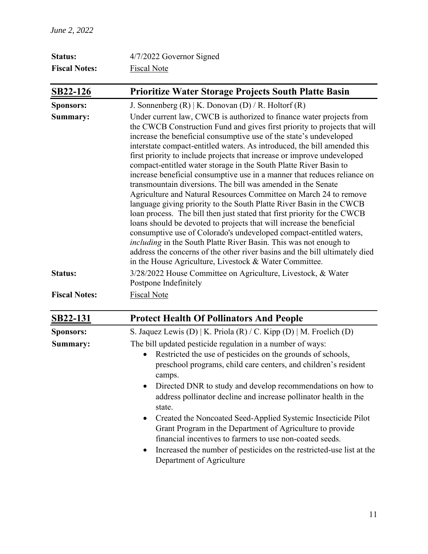| <b>Status:</b>       | 4/7/2022 Governor Signed                                                                                                                                                                                                                                                                                                                                                                                                                                                                                                                                                                                                                                                                                                                                                                                                                                                                                                                                                                                                                                                                                                                                                              |  |  |  |
|----------------------|---------------------------------------------------------------------------------------------------------------------------------------------------------------------------------------------------------------------------------------------------------------------------------------------------------------------------------------------------------------------------------------------------------------------------------------------------------------------------------------------------------------------------------------------------------------------------------------------------------------------------------------------------------------------------------------------------------------------------------------------------------------------------------------------------------------------------------------------------------------------------------------------------------------------------------------------------------------------------------------------------------------------------------------------------------------------------------------------------------------------------------------------------------------------------------------|--|--|--|
| <b>Fiscal Notes:</b> | <b>Fiscal Note</b>                                                                                                                                                                                                                                                                                                                                                                                                                                                                                                                                                                                                                                                                                                                                                                                                                                                                                                                                                                                                                                                                                                                                                                    |  |  |  |
| SB22-126             | <b>Prioritize Water Storage Projects South Platte Basin</b>                                                                                                                                                                                                                                                                                                                                                                                                                                                                                                                                                                                                                                                                                                                                                                                                                                                                                                                                                                                                                                                                                                                           |  |  |  |
| <b>Sponsors:</b>     | J. Sonnenberg $(R)$   K. Donovan $(D)$ / R. Holtorf $(R)$                                                                                                                                                                                                                                                                                                                                                                                                                                                                                                                                                                                                                                                                                                                                                                                                                                                                                                                                                                                                                                                                                                                             |  |  |  |
| Summary:             | Under current law, CWCB is authorized to finance water projects from<br>the CWCB Construction Fund and gives first priority to projects that will<br>increase the beneficial consumptive use of the state's undeveloped<br>interstate compact-entitled waters. As introduced, the bill amended this<br>first priority to include projects that increase or improve undeveloped<br>compact-entitled water storage in the South Platte River Basin to<br>increase beneficial consumptive use in a manner that reduces reliance on<br>transmountain diversions. The bill was amended in the Senate<br>Agriculture and Natural Resources Committee on March 24 to remove<br>language giving priority to the South Platte River Basin in the CWCB<br>loan process. The bill then just stated that first priority for the CWCB<br>loans should be devoted to projects that will increase the beneficial<br>consumptive use of Colorado's undeveloped compact-entitled waters,<br>including in the South Platte River Basin. This was not enough to<br>address the concerns of the other river basins and the bill ultimately died<br>in the House Agriculture, Livestock & Water Committee. |  |  |  |
| Status:              | 3/28/2022 House Committee on Agriculture, Livestock, & Water<br>Postpone Indefinitely                                                                                                                                                                                                                                                                                                                                                                                                                                                                                                                                                                                                                                                                                                                                                                                                                                                                                                                                                                                                                                                                                                 |  |  |  |
| <b>Fiscal Notes:</b> | <b>Fiscal Note</b>                                                                                                                                                                                                                                                                                                                                                                                                                                                                                                                                                                                                                                                                                                                                                                                                                                                                                                                                                                                                                                                                                                                                                                    |  |  |  |
| <b>SB22-131</b>      | <b>Protect Health Of Pollinators And People</b>                                                                                                                                                                                                                                                                                                                                                                                                                                                                                                                                                                                                                                                                                                                                                                                                                                                                                                                                                                                                                                                                                                                                       |  |  |  |
| <b>Sponsors:</b>     | S. Jaquez Lewis (D)   K. Priola (R) / C. Kipp (D)   M. Froelich (D)                                                                                                                                                                                                                                                                                                                                                                                                                                                                                                                                                                                                                                                                                                                                                                                                                                                                                                                                                                                                                                                                                                                   |  |  |  |
| Summary:             | The bill updated pesticide regulation in a number of ways:<br>Restricted the use of pesticides on the grounds of schools,<br>$\bullet$<br>preschool programs, child care centers, and children's resident<br>camps.<br>Directed DNR to study and develop recommendations on how to<br>address pollinator decline and increase pollinator health in the<br>state.<br>Created the Noncoated Seed-Applied Systemic Insecticide Pilot<br>$\bullet$<br>Grant Program in the Department of Agriculture to provide<br>financial incentives to farmers to use non-coated seeds.<br>Increased the number of pesticides on the restricted-use list at the                                                                                                                                                                                                                                                                                                                                                                                                                                                                                                                                       |  |  |  |

• Increased the number of pesticides on the restricted-use list at the Department of Agriculture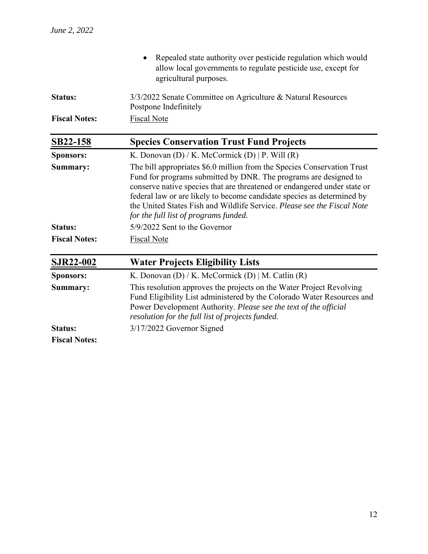|                                                             | Repealed state authority over pesticide regulation which would<br>allow local governments to regulate pesticide use, except for<br>agricultural purposes.                                                                                                                                                                                                                                                             |  |  |  |
|-------------------------------------------------------------|-----------------------------------------------------------------------------------------------------------------------------------------------------------------------------------------------------------------------------------------------------------------------------------------------------------------------------------------------------------------------------------------------------------------------|--|--|--|
| <b>Status:</b>                                              | 3/3/2022 Senate Committee on Agriculture & Natural Resources<br>Postpone Indefinitely                                                                                                                                                                                                                                                                                                                                 |  |  |  |
| <b>Fiscal Notes:</b>                                        | <b>Fiscal Note</b>                                                                                                                                                                                                                                                                                                                                                                                                    |  |  |  |
| <b>Species Conservation Trust Fund Projects</b><br>SB22-158 |                                                                                                                                                                                                                                                                                                                                                                                                                       |  |  |  |
| <b>Sponsors:</b>                                            | K. Donovan $(D)$ / K. McCormick $(D)$   P. Will $(R)$                                                                                                                                                                                                                                                                                                                                                                 |  |  |  |
| Summary:                                                    | The bill appropriates \$6.0 million from the Species Conservation Trust<br>Fund for programs submitted by DNR. The programs are designed to<br>conserve native species that are threatened or endangered under state or<br>federal law or are likely to become candidate species as determined by<br>the United States Fish and Wildlife Service. Please see the Fiscal Note<br>for the full list of programs funded. |  |  |  |
| <b>Status:</b>                                              | 5/9/2022 Sent to the Governor                                                                                                                                                                                                                                                                                                                                                                                         |  |  |  |
| <b>Fiscal Notes:</b>                                        | <b>Fiscal Note</b>                                                                                                                                                                                                                                                                                                                                                                                                    |  |  |  |
| <b>SJR22-002</b>                                            | <b>Water Projects Eligibility Lists</b>                                                                                                                                                                                                                                                                                                                                                                               |  |  |  |
| <b>Sponsors:</b>                                            | K. Donovan (D) / K. McCormick (D)   M. Catlin (R)                                                                                                                                                                                                                                                                                                                                                                     |  |  |  |
| Summary:                                                    | This resolution approves the projects on the Water Project Revolving<br>Fund Eligibility List administered by the Colorado Water Resources and<br>Power Development Authority. Please see the text of the official<br>resolution for the full list of projects funded.                                                                                                                                                |  |  |  |
| <b>Status:</b>                                              | 3/17/2022 Governor Signed                                                                                                                                                                                                                                                                                                                                                                                             |  |  |  |
| <b>Fiscal Notes:</b>                                        |                                                                                                                                                                                                                                                                                                                                                                                                                       |  |  |  |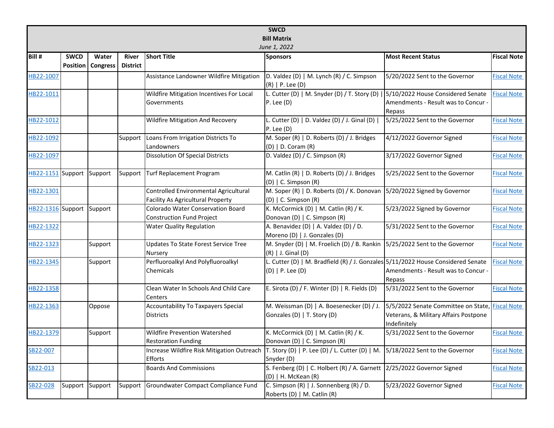|                    | <b>SWCD</b>  |                 |                 |                                                                                   |                                                                                                      |                                                                                                          |                    |  |  |  |
|--------------------|--------------|-----------------|-----------------|-----------------------------------------------------------------------------------|------------------------------------------------------------------------------------------------------|----------------------------------------------------------------------------------------------------------|--------------------|--|--|--|
| <b>Bill Matrix</b> |              |                 |                 |                                                                                   |                                                                                                      |                                                                                                          |                    |  |  |  |
|                    | June 1, 2022 |                 |                 |                                                                                   |                                                                                                      |                                                                                                          |                    |  |  |  |
| Bill #             | <b>SWCD</b>  | Water           | <b>River</b>    | <b>Short Title</b>                                                                | <b>Sponsors</b>                                                                                      | <b>Most Recent Status</b>                                                                                | <b>Fiscal Note</b> |  |  |  |
|                    | Position     | <b>Congress</b> | <b>District</b> |                                                                                   |                                                                                                      |                                                                                                          |                    |  |  |  |
| HB22-1007          |              |                 |                 | Assistance Landowner Wildfire Mitigation                                          | D. Valdez (D)   M. Lynch (R) / C. Simpson<br>(R)   P. Lee (D)                                        | 5/20/2022 Sent to the Governor                                                                           | <b>Fiscal Note</b> |  |  |  |
| HB22-1011          |              |                 |                 | Wildfire Mitigation Incentives For Local                                          | L. Cutter (D)   M. Snyder (D) / T. Story (D)                                                         | 5/10/2022 House Considered Senate                                                                        | <b>Fiscal Note</b> |  |  |  |
|                    |              |                 |                 | Governments                                                                       | $P.$ Lee $(D)$                                                                                       | Amendments - Result was to Concur -<br>Repass                                                            |                    |  |  |  |
| HB22-1012          |              |                 |                 | <b>Wildfire Mitigation And Recovery</b>                                           | L. Cutter (D)   D. Valdez (D) / J. Ginal (D)  <br>$P.$ Lee $(D)$                                     | 5/25/2022 Sent to the Governor                                                                           | <b>Fiscal Note</b> |  |  |  |
| HB22-1092          |              |                 | Support         | Loans From Irrigation Districts To<br>Landowners                                  | M. Soper (R)   D. Roberts (D) / J. Bridges<br>(D)   D. Coram (R)                                     | 4/12/2022 Governor Signed                                                                                | <b>Fiscal Note</b> |  |  |  |
| HB22-1097          |              |                 |                 | <b>Dissolution Of Special Districts</b>                                           | D. Valdez (D) / C. Simpson (R)                                                                       | 3/17/2022 Governor Signed                                                                                | <b>Fiscal Note</b> |  |  |  |
| HB22-1151 Support  |              | Support         | Support         | Turf Replacement Program                                                          | M. Catlin (R)   D. Roberts (D) / J. Bridges<br>(D)   C. Simpson (R)                                  | 5/25/2022 Sent to the Governor                                                                           | <b>Fiscal Note</b> |  |  |  |
| HB22-1301          |              |                 |                 | Controlled Environmental Agricultural<br><b>Facility As Agricultural Property</b> | M. Soper (R)   D. Roberts (D) / K. Donovan<br>(D)   C. Simpson (R)                                   | 5/20/2022 Signed by Governor                                                                             | <b>Fiscal Note</b> |  |  |  |
| HB22-1316 Support  |              | Support         |                 | Colorado Water Conservation Board<br><b>Construction Fund Project</b>             | K. McCormick (D)   M. Catlin (R) / K.<br>Donovan (D)   C. Simpson (R)                                | 5/23/2022 Signed by Governor                                                                             | <b>Fiscal Note</b> |  |  |  |
| HB22-1322          |              |                 |                 | <b>Water Quality Regulation</b>                                                   | A. Benavidez (D)   A. Valdez (D) / D.<br>Moreno (D)   J. Gonzales (D)                                | 5/31/2022 Sent to the Governor                                                                           | <b>Fiscal Note</b> |  |  |  |
| HB22-1323          |              | Support         |                 | Updates To State Forest Service Tree<br>Nursery                                   | M. Snyder (D)   M. Froelich (D) / B. Rankin<br>$(R)$   J. Ginal $(D)$                                | 5/25/2022 Sent to the Governor                                                                           | <b>Fiscal Note</b> |  |  |  |
| HB22-1345          |              | Support         |                 | Perfluoroalkyl And Polyfluoroalkyl<br>Chemicals                                   | L. Cutter (D)   M. Bradfield (R) / J. Gonzales 5/11/2022 House Considered Senate<br>(D)   P. Lee (D) | Amendments - Result was to Concur -<br>Repass                                                            | <b>Fiscal Note</b> |  |  |  |
| HB22-1358          |              |                 |                 | Clean Water In Schools And Child Care<br>Centers                                  | E. Sirota (D) / F. Winter (D)   R. Fields (D)                                                        | 5/31/2022 Sent to the Governor                                                                           | <b>Fiscal Note</b> |  |  |  |
| HB22-1363          |              | Oppose          |                 | Accountability To Taxpayers Special<br><b>Districts</b>                           | M. Weissman (D)   A. Boesenecker (D) / J.<br>Gonzales (D)   T. Story (D)                             | 5/5/2022 Senate Committee on State, Fiscal Note<br>Veterans, & Military Affairs Postpone<br>Indefinitely |                    |  |  |  |
| HB22-1379          |              | Support         |                 | <b>Wildfire Prevention Watershed</b><br><b>Restoration Funding</b>                | K. McCormick (D)   M. Catlin (R) / K.<br>Donovan (D)   C. Simpson (R)                                | 5/31/2022 Sent to the Governor                                                                           | <b>Fiscal Note</b> |  |  |  |
| SB22-007           |              |                 |                 | Increase Wildfire Risk Mitigation Outreach<br>Efforts                             | T. Story (D)   P. Lee (D) / L. Cutter (D)   M.<br>Snyder (D)                                         | 5/18/2022 Sent to the Governor                                                                           | <b>Fiscal Note</b> |  |  |  |
| SB22-013           |              |                 |                 | <b>Boards And Commissions</b>                                                     | S. Fenberg (D)   C. Holbert (R) / A. Garnett 2/25/2022 Governor Signed<br>(D)   H. McKean (R)        |                                                                                                          | <b>Fiscal Note</b> |  |  |  |
| SB22-028           | Support      | Support         | Support         | Groundwater Compact Compliance Fund                                               | C. Simpson (R)   J. Sonnenberg (R) / D.<br>Roberts (D)   M. Catlin (R)                               | 5/23/2022 Governor Signed                                                                                | <b>Fiscal Note</b> |  |  |  |